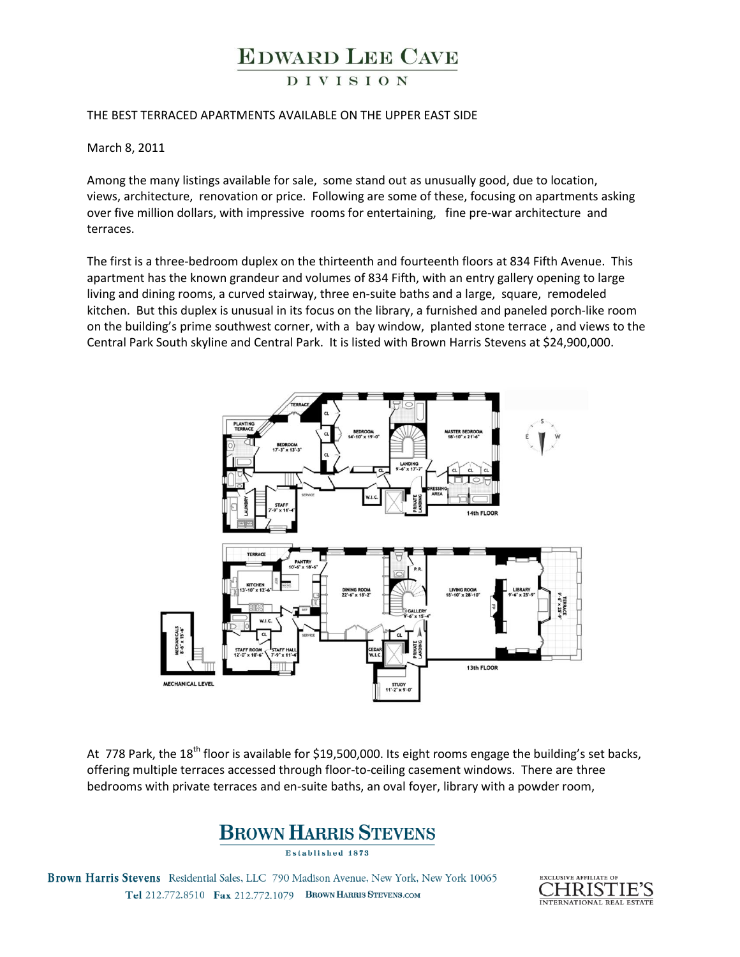# **EDWARD LEE CAVE**

### **DIVISION**

### THE BEST TERRACED APARTMENTS AVAILABLE ON THE UPPER EAST SIDE

March 8, 2011

Among the many listings available for sale, some stand out as unusually good, due to location, views, architecture, renovation or price. Following are some of these, focusing on apartments asking over five million dollars, with impressive rooms for entertaining, fine pre-war architecture and terraces.

The first is a three-bedroom duplex on the thirteenth and fourteenth floors at 834 Fifth Avenue. This apartment has the known grandeur and volumes of 834 Fifth, with an entry gallery opening to large living and dining rooms, a curved stairway, three en-suite baths and a large, square, remodeled kitchen. But this duplex is unusual in its focus on the library, a furnished and paneled porch-like room on the building's prime southwest corner, with a bay window, planted stone terrace, and views to the Central Park South skyline and Central Park. It is listed with Brown Harris Stevens at \$24,900,000.



At 778 Park, the 18<sup>th</sup> floor is available for \$19,500,000. Its eight rooms engage the building's set backs, offering multiple terraces accessed through floor-to-ceiling casement windows. There are three bedrooms with private terraces and en-suite baths, an oval foyer, library with a powder room,



Established 1873

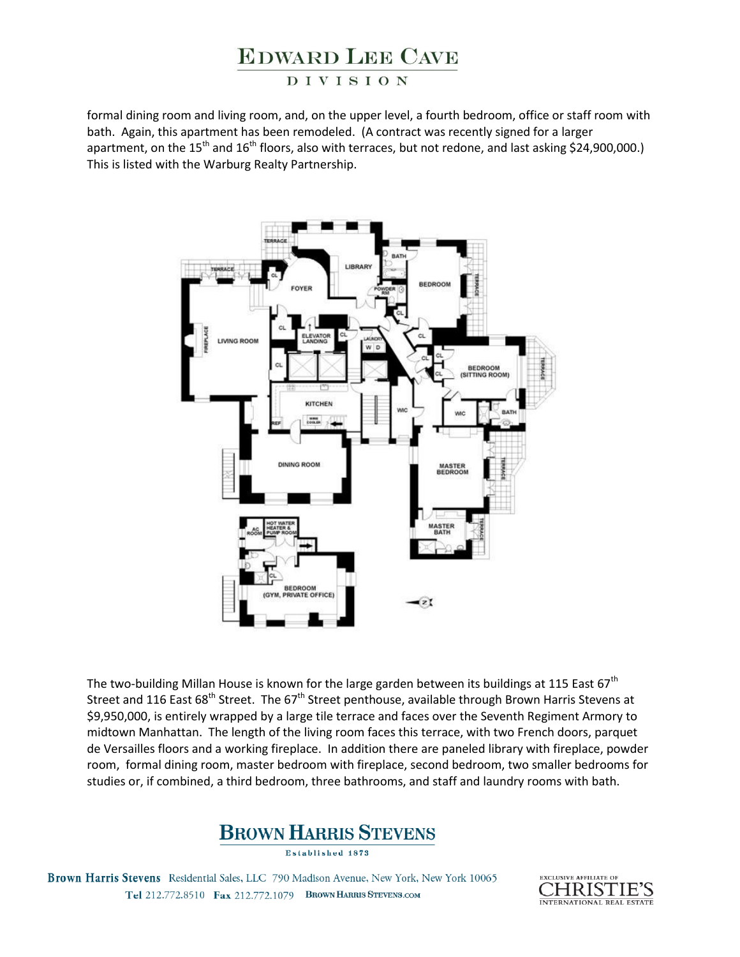# **EDWARD LEE CAVE**

### **DIVISION**

formal dining room and living room, and, on the upper level, a fourth bedroom, office or staff room with bath. Again, this apartment has been remodeled. (A contract was recently signed for a larger apartment, on the  $15<sup>th</sup>$  and  $16<sup>th</sup>$  floors, also with terraces, but not redone, and last asking \$24,900,000.) This is listed with the Warburg Realty Partnership.



The two-building Millan House is known for the large garden between its buildings at 115 East 67<sup>th</sup> Street and 116 East 68<sup>th</sup> Street. The 67<sup>th</sup> Street penthouse, available through Brown Harris Stevens at \$9,950,000, is entirely wrapped by a large tile terrace and faces over the Seventh Regiment Armory to midtown Manhattan. The length of the living room faces this terrace, with two French doors, parquet de Versailles floors and a working fireplace. In addition there are paneled library with fireplace, powder room, formal dining room, master bedroom with fireplace, second bedroom, two smaller bedrooms for studies or, if combined, a third bedroom, three bathrooms, and staff and laundry rooms with bath.



Established 1873

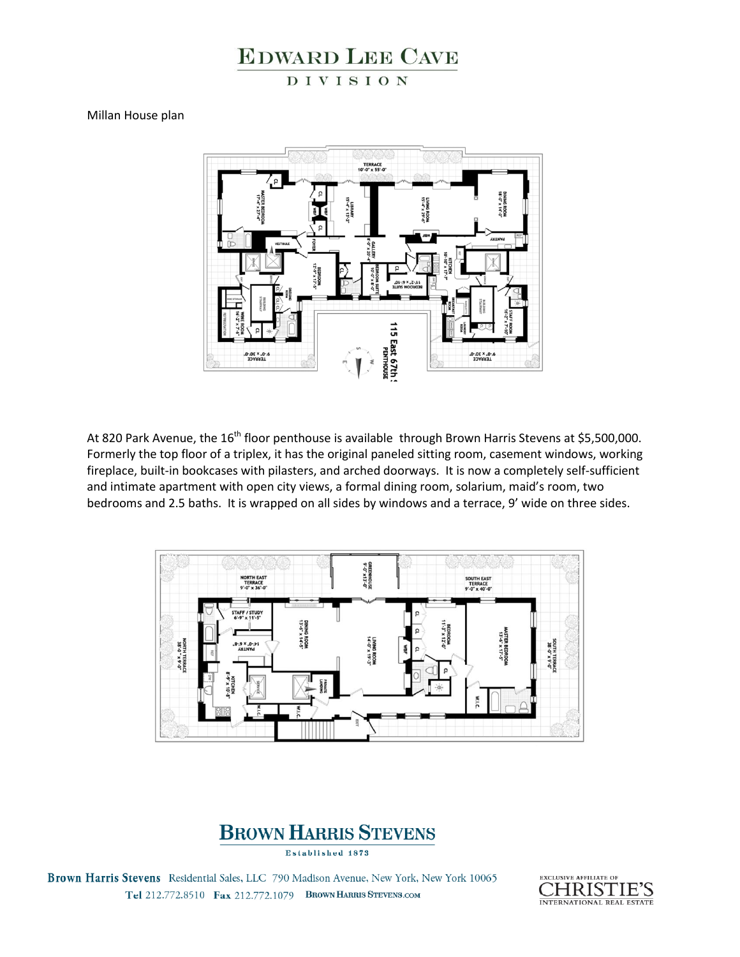## **EDWARD LEE CAVE** DIVISION

Millan House plan



At 820 Park Avenue, the  $16<sup>th</sup>$  floor penthouse is available through Brown Harris Stevens at \$5,500,000. Formerly the top floor of a triplex, it has the original paneled sitting room, casement windows, working fireplace, built-in bookcases with pilasters, and arched doorways. It is now a completely self-sufficient and intimate apartment with open city views, a formal dining room, solarium, maid's room, two bedrooms and 2.5 baths. It is wrapped on all sides by windows and a terrace, 9' wide on three sides.



## **BROWN HARRIS STEVENS**

Established 1873